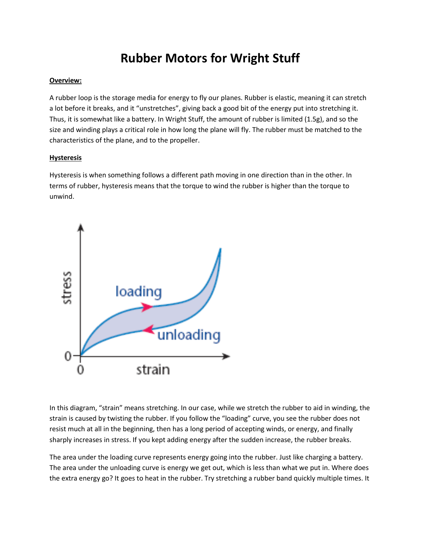# **Rubber Motors for Wright Stuff**

## **Overview:**

A rubber loop is the storage media for energy to fly our planes. Rubber is elastic, meaning it can stretch a lot before it breaks, and it "unstretches", giving back a good bit of the energy put into stretching it. Thus, it is somewhat like a battery. In Wright Stuff, the amount of rubber is limited (1.5g), and so the size and winding plays a critical role in how long the plane will fly. The rubber must be matched to the characteristics of the plane, and to the propeller.

## **Hysteresis**

Hysteresis is when something follows a different path moving in one direction than in the other. In terms of rubber, hysteresis means that the torque to wind the rubber is higher than the torque to unwind.



In this diagram, "strain" means stretching. In our case, while we stretch the rubber to aid in winding, the strain is caused by twisting the rubber. If you follow the "loading" curve, you see the rubber does not resist much at all in the beginning, then has a long period of accepting winds, or energy, and finally sharply increases in stress. If you kept adding energy after the sudden increase, the rubber breaks.

The area under the loading curve represents energy going into the rubber. Just like charging a battery. The area under the unloading curve is energy we get out, which is less than what we put in. Where does the extra energy go? It goes to heat in the rubber. Try stretching a rubber band quickly multiple times. It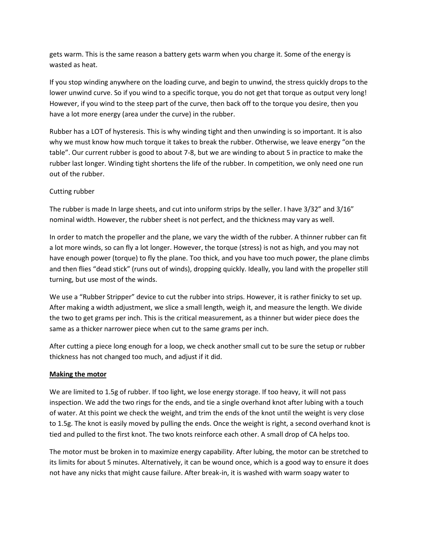gets warm. This is the same reason a battery gets warm when you charge it. Some of the energy is wasted as heat.

If you stop winding anywhere on the loading curve, and begin to unwind, the stress quickly drops to the lower unwind curve. So if you wind to a specific torque, you do not get that torque as output very long! However, if you wind to the steep part of the curve, then back off to the torque you desire, then you have a lot more energy (area under the curve) in the rubber.

Rubber has a LOT of hysteresis. This is why winding tight and then unwinding is so important. It is also why we must know how much torque it takes to break the rubber. Otherwise, we leave energy "on the table". Our current rubber is good to about 7-8, but we are winding to about 5 in practice to make the rubber last longer. Winding tight shortens the life of the rubber. In competition, we only need one run out of the rubber.

## Cutting rubber

The rubber is made In large sheets, and cut into uniform strips by the seller. I have 3/32" and 3/16" nominal width. However, the rubber sheet is not perfect, and the thickness may vary as well.

In order to match the propeller and the plane, we vary the width of the rubber. A thinner rubber can fit a lot more winds, so can fly a lot longer. However, the torque (stress) is not as high, and you may not have enough power (torque) to fly the plane. Too thick, and you have too much power, the plane climbs and then flies "dead stick" (runs out of winds), dropping quickly. Ideally, you land with the propeller still turning, but use most of the winds.

We use a "Rubber Stripper" device to cut the rubber into strips. However, it is rather finicky to set up. After making a width adjustment, we slice a small length, weigh it, and measure the length. We divide the two to get grams per inch. This is the critical measurement, as a thinner but wider piece does the same as a thicker narrower piece when cut to the same grams per inch.

After cutting a piece long enough for a loop, we check another small cut to be sure the setup or rubber thickness has not changed too much, and adjust if it did.

#### **Making the motor**

We are limited to 1.5g of rubber. If too light, we lose energy storage. If too heavy, it will not pass inspection. We add the two rings for the ends, and tie a single overhand knot after lubing with a touch of water. At this point we check the weight, and trim the ends of the knot until the weight is very close to 1.5g. The knot is easily moved by pulling the ends. Once the weight is right, a second overhand knot is tied and pulled to the first knot. The two knots reinforce each other. A small drop of CA helps too.

The motor must be broken in to maximize energy capability. After lubing, the motor can be stretched to its limits for about 5 minutes. Alternatively, it can be wound once, which is a good way to ensure it does not have any nicks that might cause failure. After break-in, it is washed with warm soapy water to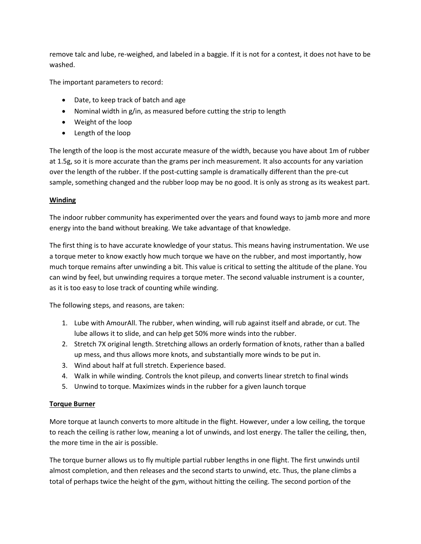remove talc and lube, re-weighed, and labeled in a baggie. If it is not for a contest, it does not have to be washed.

The important parameters to record:

- Date, to keep track of batch and age
- Nominal width in g/in, as measured before cutting the strip to length
- Weight of the loop
- Length of the loop

The length of the loop is the most accurate measure of the width, because you have about 1m of rubber at 1.5g, so it is more accurate than the grams per inch measurement. It also accounts for any variation over the length of the rubber. If the post-cutting sample is dramatically different than the pre-cut sample, something changed and the rubber loop may be no good. It is only as strong as its weakest part.

# **Winding**

The indoor rubber community has experimented over the years and found ways to jamb more and more energy into the band without breaking. We take advantage of that knowledge.

The first thing is to have accurate knowledge of your status. This means having instrumentation. We use a torque meter to know exactly how much torque we have on the rubber, and most importantly, how much torque remains after unwinding a bit. This value is critical to setting the altitude of the plane. You can wind by feel, but unwinding requires a torque meter. The second valuable instrument is a counter, as it is too easy to lose track of counting while winding.

The following steps, and reasons, are taken:

- 1. Lube with AmourAll. The rubber, when winding, will rub against itself and abrade, or cut. The lube allows it to slide, and can help get 50% more winds into the rubber.
- 2. Stretch 7X original length. Stretching allows an orderly formation of knots, rather than a balled up mess, and thus allows more knots, and substantially more winds to be put in.
- 3. Wind about half at full stretch. Experience based.
- 4. Walk in while winding. Controls the knot pileup, and converts linear stretch to final winds
- 5. Unwind to torque. Maximizes winds in the rubber for a given launch torque

## **Torque Burner**

More torque at launch converts to more altitude in the flight. However, under a low ceiling, the torque to reach the ceiling is rather low, meaning a lot of unwinds, and lost energy. The taller the ceiling, then, the more time in the air is possible.

The torque burner allows us to fly multiple partial rubber lengths in one flight. The first unwinds until almost completion, and then releases and the second starts to unwind, etc. Thus, the plane climbs a total of perhaps twice the height of the gym, without hitting the ceiling. The second portion of the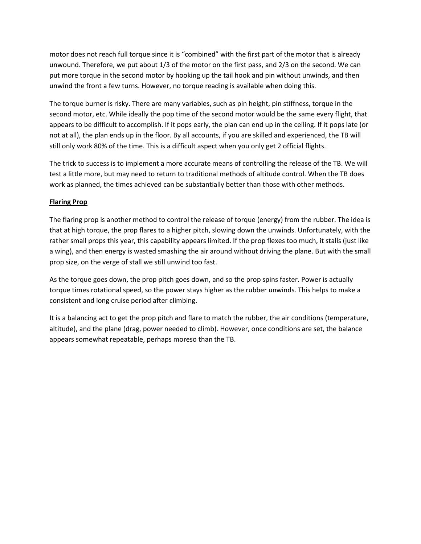motor does not reach full torque since it is "combined" with the first part of the motor that is already unwound. Therefore, we put about 1/3 of the motor on the first pass, and 2/3 on the second. We can put more torque in the second motor by hooking up the tail hook and pin without unwinds, and then unwind the front a few turns. However, no torque reading is available when doing this.

The torque burner is risky. There are many variables, such as pin height, pin stiffness, torque in the second motor, etc. While ideally the pop time of the second motor would be the same every flight, that appears to be difficult to accomplish. If it pops early, the plan can end up in the ceiling. If it pops late (or not at all), the plan ends up in the floor. By all accounts, if you are skilled and experienced, the TB will still only work 80% of the time. This is a difficult aspect when you only get 2 official flights.

The trick to success is to implement a more accurate means of controlling the release of the TB. We will test a little more, but may need to return to traditional methods of altitude control. When the TB does work as planned, the times achieved can be substantially better than those with other methods.

# **Flaring Prop**

The flaring prop is another method to control the release of torque (energy) from the rubber. The idea is that at high torque, the prop flares to a higher pitch, slowing down the unwinds. Unfortunately, with the rather small props this year, this capability appears limited. If the prop flexes too much, it stalls (just like a wing), and then energy is wasted smashing the air around without driving the plane. But with the small prop size, on the verge of stall we still unwind too fast.

As the torque goes down, the prop pitch goes down, and so the prop spins faster. Power is actually torque times rotational speed, so the power stays higher as the rubber unwinds. This helps to make a consistent and long cruise period after climbing.

It is a balancing act to get the prop pitch and flare to match the rubber, the air conditions (temperature, altitude), and the plane (drag, power needed to climb). However, once conditions are set, the balance appears somewhat repeatable, perhaps moreso than the TB.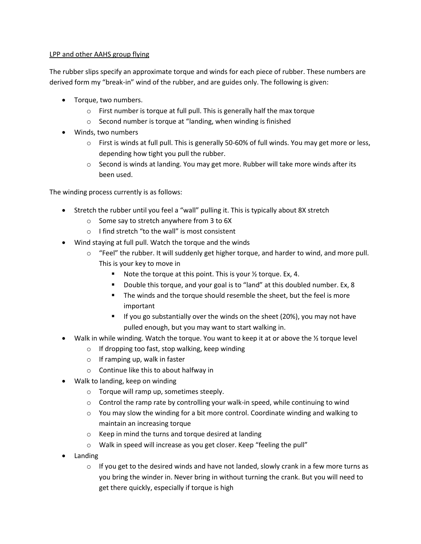## LPP and other AAHS group flying

The rubber slips specify an approximate torque and winds for each piece of rubber. These numbers are derived form my "break-in" wind of the rubber, and are guides only. The following is given:

- Torque, two numbers.
	- o First number is torque at full pull. This is generally half the max torque
	- o Second number is torque at "landing, when winding is finished
- Winds, two numbers
	- $\circ$  First is winds at full pull. This is generally 50-60% of full winds. You may get more or less, depending how tight you pull the rubber.
	- $\circ$  Second is winds at landing. You may get more. Rubber will take more winds after its been used.

The winding process currently is as follows:

- Stretch the rubber until you feel a "wall" pulling it. This is typically about 8X stretch
	- o Some say to stretch anywhere from 3 to 6X
	- o I find stretch "to the wall" is most consistent
- Wind staying at full pull. Watch the torque and the winds
	- o "Feel" the rubber. It will suddenly get higher torque, and harder to wind, and more pull. This is your key to move in
		- Note the torque at this point. This is your  $\frac{1}{2}$  torque. Ex, 4.
		- Double this torque, and your goal is to "land" at this doubled number. Ex, 8
		- The winds and the torque should resemble the sheet, but the feel is more important
		- If you go substantially over the winds on the sheet (20%), you may not have pulled enough, but you may want to start walking in.
- Walk in while winding. Watch the torque. You want to keep it at or above the  $\frac{1}{2}$  torque level
	- o If dropping too fast, stop walking, keep winding
	- $\circ$  If ramping up, walk in faster
	- o Continue like this to about halfway in
- Walk to landing, keep on winding
	- o Torque will ramp up, sometimes steeply.
	- $\circ$  Control the ramp rate by controlling your walk-in speed, while continuing to wind
	- $\circ$  You may slow the winding for a bit more control. Coordinate winding and walking to maintain an increasing torque
	- o Keep in mind the turns and torque desired at landing
	- o Walk in speed will increase as you get closer. Keep "feeling the pull"
- Landing
	- $\circ$  If you get to the desired winds and have not landed, slowly crank in a few more turns as you bring the winder in. Never bring in without turning the crank. But you will need to get there quickly, especially if torque is high